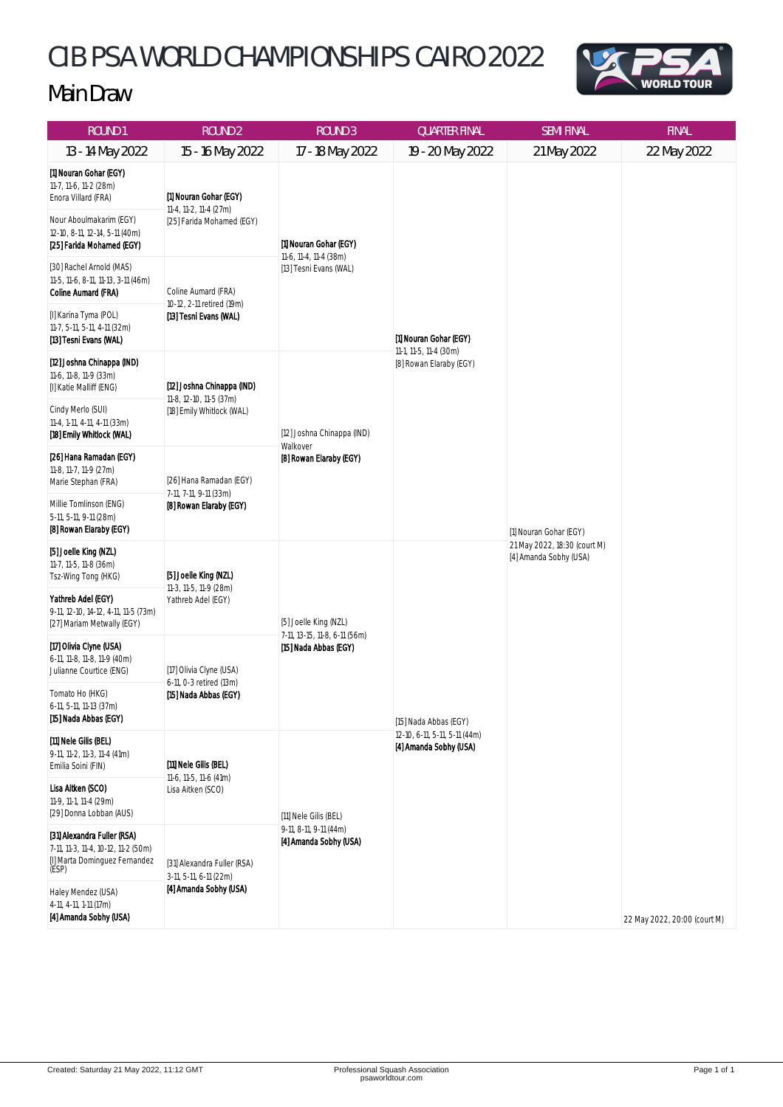## CIB PSA WORLD CHAMPIONSHIPS CAIRO 2022



## Main Draw

| ROUND <sub>1</sub>                                                                                                                                                | ROUND <sub>2</sub>                                                                 | <b>ROUND 3</b>                                                                  | <b>QUARTER FINAL</b>                                                             | <b>SEMI FINAL</b>                                                                | <b>FINAL</b>                 |
|-------------------------------------------------------------------------------------------------------------------------------------------------------------------|------------------------------------------------------------------------------------|---------------------------------------------------------------------------------|----------------------------------------------------------------------------------|----------------------------------------------------------------------------------|------------------------------|
| 13 - 14 May 2022                                                                                                                                                  | 15 - 16 May 2022                                                                   | 17 - 18 May 2022                                                                | 19 - 20 May 2022                                                                 | 21 May 2022                                                                      | 22 May 2022                  |
| [1] Nouran Gohar (EGY)<br>11-7, 11-6, 11-2 (28m)<br>Enora Villard (FRA)<br>Nour Aboulmakarim (EGY)<br>12-10, 8-11, 12-14, 5-11 (40m)<br>[25] Farida Mohamed (EGY) | [1] Nouran Gohar (EGY)<br>11-4, 11-2, 11-4 (27m)<br>[25] Farida Mohamed (EGY)      | [1] Nouran Gohar (EGY)<br>11-6, 11-4, 11-4 (38m)<br>[13] Tesni Evans (WAL)      | [1] Nouran Gohar (EGY)<br>11-1, 11-5, 11-4 (30m)<br>[8] Rowan Elaraby (EGY)      | [1] Nouran Gohar (EGY)<br>21 May 2022, 18:30 (court M)<br>[4] Amanda Sobhy (USA) |                              |
| [30] Rachel Arnold (MAS)<br>11-5, 11-6, 8-11, 11-13, 3-11 (46m)<br><b>Coline Aumard (FRA)</b><br>[I] Karina Tyma (POL)                                            | Coline Aumard (FRA)<br>10-12, 2-11 retired (19m)<br>[13] Tesni Evans (WAL)         |                                                                                 |                                                                                  |                                                                                  |                              |
| 11-7, 5-11, 5-11, 4-11 (32m)<br>[13] Tesni Evans (WAL)                                                                                                            |                                                                                    |                                                                                 |                                                                                  |                                                                                  |                              |
| [12] Joshna Chinappa (IND)<br>11-6, 11-8, 11-9 (33m)<br>[I] Katie Malliff (ENG)                                                                                   | [12] Joshna Chinappa (IND)<br>11-8, 12-10, 11-5 (37m)<br>[18] Emily Whitlock (WAL) | [12] Joshna Chinappa (IND)<br>Walkover<br>[8] Rowan Elaraby (EGY)               |                                                                                  |                                                                                  |                              |
| Cindy Merlo (SUI)<br>11-4, 1-11, 4-11, 4-11 (33m)<br>[18] Emily Whitlock (WAL)                                                                                    |                                                                                    |                                                                                 |                                                                                  |                                                                                  |                              |
| [26] Hana Ramadan (EGY)<br>11-8, 11-7, 11-9 (27m)<br>Marie Stephan (FRA)                                                                                          | [26] Hana Ramadan (EGY)<br>7-11, 7-11, 9-11 (33m)<br>[8] Rowan Elaraby (EGY)       |                                                                                 |                                                                                  |                                                                                  |                              |
| Millie Tomlinson (ENG)<br>5-11, 5-11, 9-11 (28m)<br>[8] Rowan Elaraby (EGY)                                                                                       |                                                                                    |                                                                                 |                                                                                  |                                                                                  |                              |
| [5] Joelle King (NZL)<br>11-7, 11-5, 11-8 (36m)<br>Tsz-Wing Tong (HKG)                                                                                            | [5] Joelle King (NZL)<br>11-3, 11-5, 11-9 (28m)<br>Yathreb Adel (EGY)              | [5] Joelle King (NZL)<br>7-11, 13-15, 11-8, 6-11 (56m)<br>[15] Nada Abbas (EGY) | [15] Nada Abbas (EGY)<br>12-10, 6-11, 5-11, 5-11 (44m)<br>[4] Amanda Sobhy (USA) |                                                                                  |                              |
| Yathreb Adel (EGY)<br>9-11, 12-10, 14-12, 4-11, 11-5 (73m)<br>[27] Mariam Metwally (EGY)                                                                          |                                                                                    |                                                                                 |                                                                                  |                                                                                  |                              |
| [17] Olivia Clyne (USA)<br>6-11, 11-8, 11-8, 11-9 (40m)<br>Julianne Courtice (ENG)                                                                                | [17] Olivia Clyne (USA)<br>6-11, 0-3 retired (13m)<br>[15] Nada Abbas (EGY)        |                                                                                 |                                                                                  |                                                                                  |                              |
| Tomato Ho (HKG)<br>6-11, 5-11, 11-13 (37m)<br>[15] Nada Abbas (EGY)                                                                                               |                                                                                    |                                                                                 |                                                                                  |                                                                                  |                              |
| [11] Nele Gilis (BEL)<br>9-11, 11-2, 11-3, 11-4 (41m)<br>Emilia Soini (FIN)                                                                                       | [11] Nele Gilis (BEL)<br>11-6, 11-5, 11-6 (41m)<br>Lisa Aitken (SCO)               | [11] Nele Gilis (BEL)<br>9-11, 8-11, 9-11 (44m)<br>[4] Amanda Sobhy (USA)       |                                                                                  |                                                                                  |                              |
| Lisa Aitken (SCO)<br>11-9, 11-1, 11-4 (29m)<br>[29] Donna Lobban (AUS)                                                                                            |                                                                                    |                                                                                 |                                                                                  |                                                                                  |                              |
| [31] Alexandra Fuller (RSA)<br>7-11, 11-3, 11-4, 10-12, 11-2 (50m)<br>[I] Marta Dominguez Fernandez<br>(ESP)                                                      | [31] Alexandra Fuller (RSA)<br>3-11, 5-11, 6-11 (22m)<br>[4] Amanda Sobhy (USA)    |                                                                                 |                                                                                  |                                                                                  |                              |
| Haley Mendez (USA)<br>4-11, 4-11, 1-11 (17m)<br>[4] Amanda Sobhy (USA)                                                                                            |                                                                                    |                                                                                 |                                                                                  |                                                                                  | 22 May 2022, 20:00 (court M) |